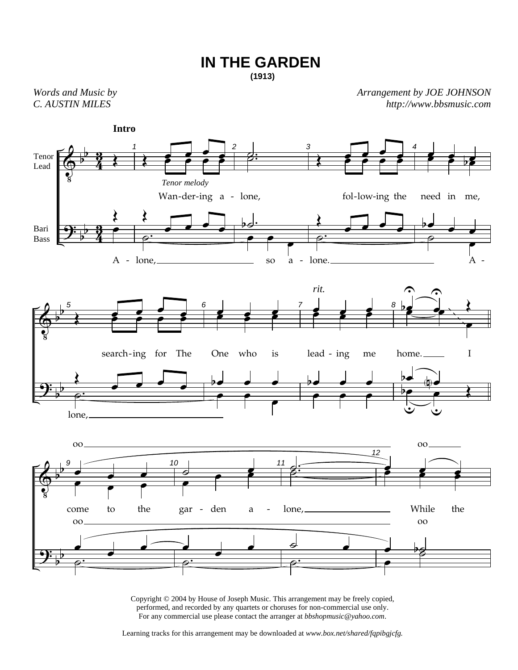## **IN THE GARDEN**

**(1913)**

*Words and Music by C. AUSTIN MILES* 

*Arrangement by JOE JOHNSON http://www.bbsmusic.com*



Copyright © 2004 by House of Joseph Music. This arrangement may be freely copied, performed, and recorded by any quartets or choruses for non-commercial use only. For any commercial use please contact the arranger at *bbshopmusic@yahoo.com*.

Learning tracks for this arrangement may be downloaded at *www.box.net/shared/fqpibgjcfg.*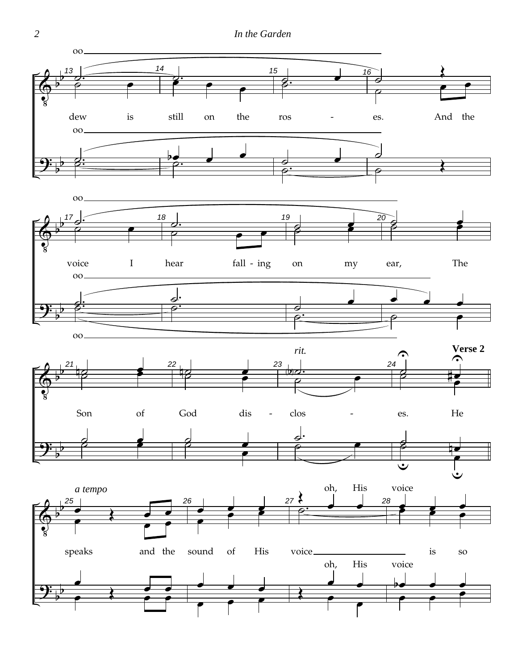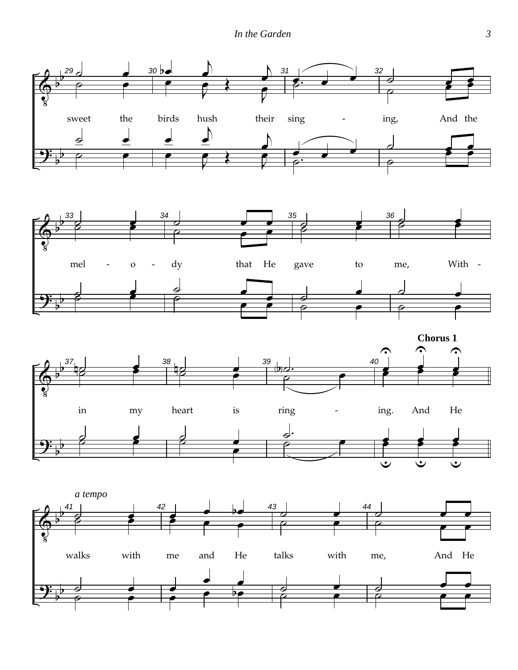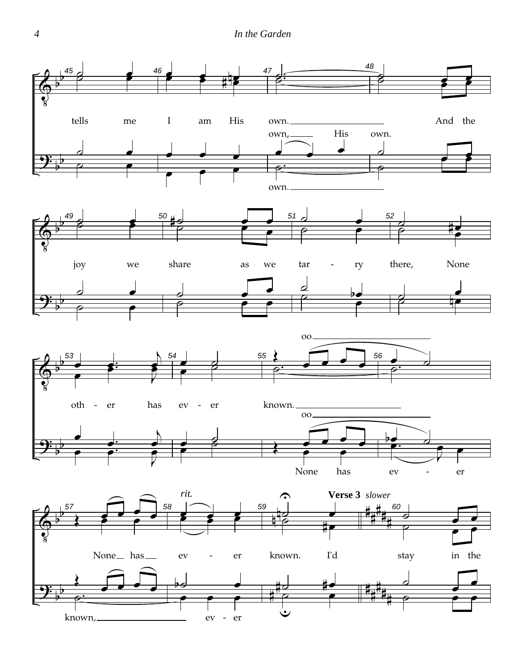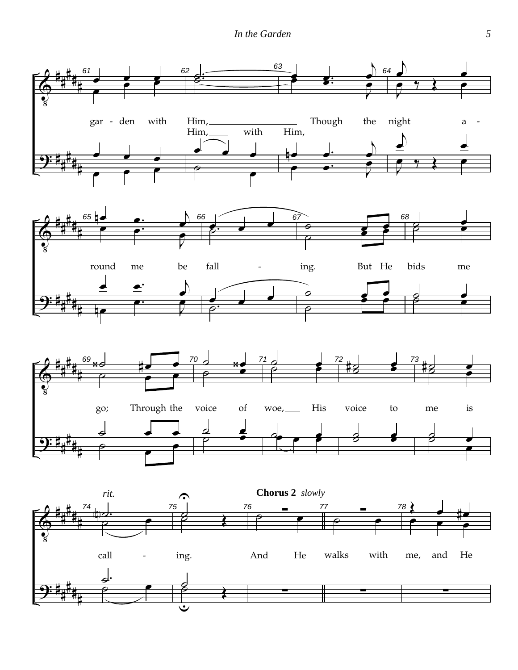